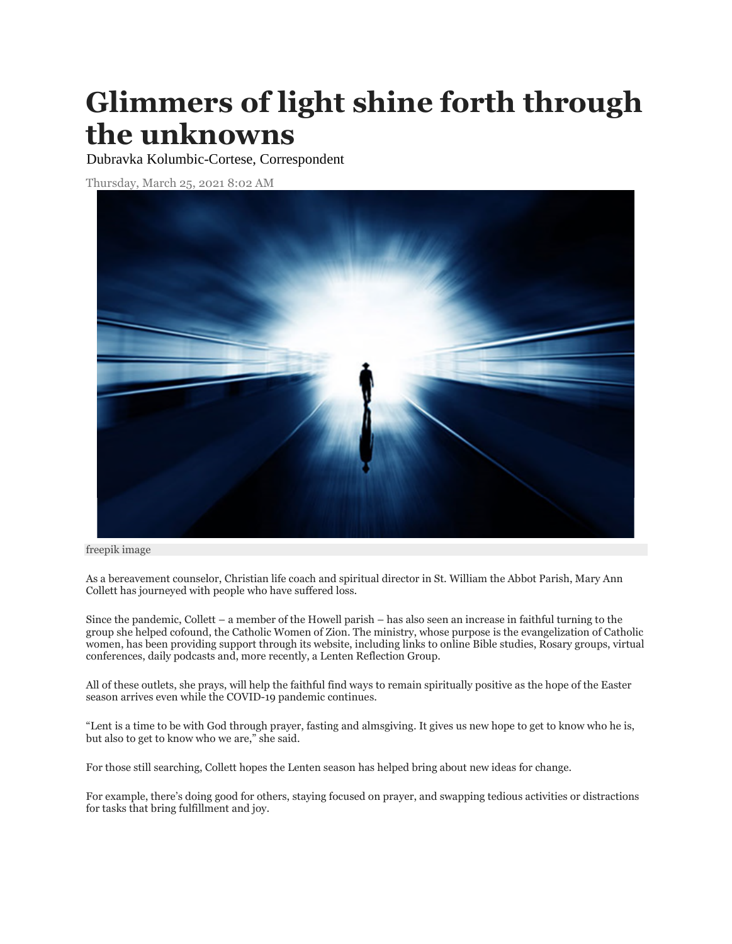## **Glimmers of light shine forth through the unknowns**

Dubravka Kolumbic-Cortese, Correspondent

Thursday, March 25, 2021 8:02 AM



freepik image

As a bereavement counselor, Christian life coach and spiritual director in St. William the Abbot Parish, Mary Ann Collett has journeyed with people who have suffered loss.

Since the pandemic, Collett – a member of the Howell parish – has also seen an increase in faithful turning to the group she helped cofound, the Catholic Women of Zion. The ministry, whose purpose is the evangelization of Catholic women, has been providing support through its website, including links to online Bible studies, Rosary groups, virtual conferences, daily podcasts and, more recently, a Lenten Reflection Group.

All of these outlets, she prays, will help the faithful find ways to remain spiritually positive as the hope of the Easter season arrives even while the COVID-19 pandemic continues.

"Lent is a time to be with God through prayer, fasting and almsgiving. It gives us new hope to get to know who he is, but also to get to know who we are," she said.

For those still searching, Collett hopes the Lenten season has helped bring about new ideas for change.

For example, there's doing good for others, staying focused on prayer, and swapping tedious activities or distractions for tasks that bring fulfillment and joy.